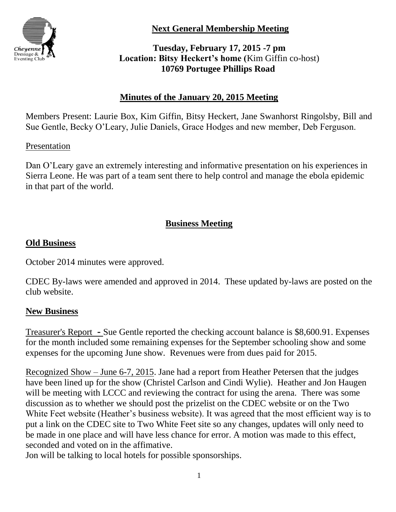

**Next General Membership Meeting**

# **Tuesday, February 17, 2015 -7 pm Location: Bitsy Heckert's home (**Kim Giffin co-host) **10769 Portugee Phillips Road**

# **Minutes of the January 20, 2015 Meeting**

Members Present: Laurie Box, Kim Giffin, Bitsy Heckert, Jane Swanhorst Ringolsby, Bill and Sue Gentle, Becky O'Leary, Julie Daniels, Grace Hodges and new member, Deb Ferguson.

### Presentation

Dan O'Leary gave an extremely interesting and informative presentation on his experiences in Sierra Leone. He was part of a team sent there to help control and manage the ebola epidemic in that part of the world.

# **Business Meeting**

## **Old Business**

October 2014 minutes were approved.

CDEC By-laws were amended and approved in 2014. These updated by-laws are posted on the club website.

#### **New Business**

Treasurer's Report **-** Sue Gentle reported the checking account balance is \$8,600.91. Expenses for the month included some remaining expenses for the September schooling show and some expenses for the upcoming June show. Revenues were from dues paid for 2015.

Recognized Show – June 6-7, 2015. Jane had a report from Heather Petersen that the judges have been lined up for the show (Christel Carlson and Cindi Wylie). Heather and Jon Haugen will be meeting with LCCC and reviewing the contract for using the arena. There was some discussion as to whether we should post the prizelist on the CDEC website or on the Two White Feet website (Heather's business website). It was agreed that the most efficient way is to put a link on the CDEC site to Two White Feet site so any changes, updates will only need to be made in one place and will have less chance for error. A motion was made to this effect, seconded and voted on in the affimative.

Jon will be talking to local hotels for possible sponsorships.